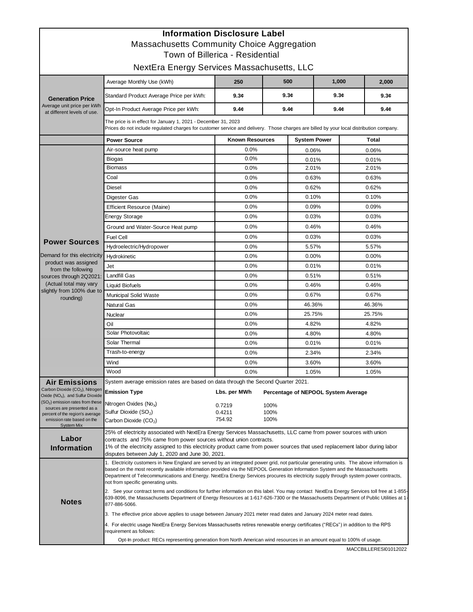| <b>Information Disclosure Label</b><br><b>Massachusetts Community Choice Aggregation</b> |                                                                                                                                                                                                                                                                                                                                                                                                                                                          |                        |                  |                                     |                  |              |  |  |  |  |
|------------------------------------------------------------------------------------------|----------------------------------------------------------------------------------------------------------------------------------------------------------------------------------------------------------------------------------------------------------------------------------------------------------------------------------------------------------------------------------------------------------------------------------------------------------|------------------------|------------------|-------------------------------------|------------------|--------------|--|--|--|--|
| Town of Billerica - Residential                                                          |                                                                                                                                                                                                                                                                                                                                                                                                                                                          |                        |                  |                                     |                  |              |  |  |  |  |
| NextEra Energy Services Massachusetts, LLC                                               |                                                                                                                                                                                                                                                                                                                                                                                                                                                          |                        |                  |                                     |                  |              |  |  |  |  |
| <b>Generation Price</b><br>Average unit price per kWh<br>at different levels of use.     | Average Monthly Use (kWh)                                                                                                                                                                                                                                                                                                                                                                                                                                | 250                    | 500              |                                     | 1,000            | 2,000        |  |  |  |  |
|                                                                                          | Standard Product Average Price per kWh:                                                                                                                                                                                                                                                                                                                                                                                                                  | 9.3c                   | 9.3c             |                                     | 9.3c             | 9.3c         |  |  |  |  |
|                                                                                          | Opt-In Product Average Price per kWh:                                                                                                                                                                                                                                                                                                                                                                                                                    | 9.4c                   | 9.4 <sub>c</sub> |                                     | 9.4 <sub>c</sub> | 9.4c         |  |  |  |  |
|                                                                                          | The price is in effect for January 1, 2021 - December 31, 2023<br>Prices do not include regulated charges for customer service and delivery. Those charges are billed by your local distribution company.                                                                                                                                                                                                                                                |                        |                  |                                     |                  |              |  |  |  |  |
|                                                                                          | <b>Power Source</b>                                                                                                                                                                                                                                                                                                                                                                                                                                      | <b>Known Resources</b> |                  | <b>System Power</b>                 |                  | <b>Total</b> |  |  |  |  |
|                                                                                          | Air-source heat pump                                                                                                                                                                                                                                                                                                                                                                                                                                     | 0.0%                   |                  | 0.06%                               |                  | 0.06%        |  |  |  |  |
|                                                                                          | Biogas                                                                                                                                                                                                                                                                                                                                                                                                                                                   | 0.0%                   |                  | 0.01%                               |                  | 0.01%        |  |  |  |  |
|                                                                                          | <b>Biomass</b>                                                                                                                                                                                                                                                                                                                                                                                                                                           | 0.0%                   |                  | 2.01%                               |                  | 2.01%        |  |  |  |  |
|                                                                                          | Coal                                                                                                                                                                                                                                                                                                                                                                                                                                                     | 0.0%                   |                  | 0.63%                               |                  | 0.63%        |  |  |  |  |
|                                                                                          | Diesel                                                                                                                                                                                                                                                                                                                                                                                                                                                   | 0.0%                   |                  | 0.62%                               |                  | 0.62%        |  |  |  |  |
|                                                                                          | Digester Gas                                                                                                                                                                                                                                                                                                                                                                                                                                             | 0.0%                   |                  | 0.10%                               |                  | 0.10%        |  |  |  |  |
|                                                                                          | <b>Efficient Resource (Maine)</b>                                                                                                                                                                                                                                                                                                                                                                                                                        | 0.0%                   |                  | 0.09%                               |                  | 0.09%        |  |  |  |  |
|                                                                                          | <b>Energy Storage</b>                                                                                                                                                                                                                                                                                                                                                                                                                                    | 0.0%                   |                  | 0.03%                               |                  | 0.03%        |  |  |  |  |
|                                                                                          | Ground and Water-Source Heat pump                                                                                                                                                                                                                                                                                                                                                                                                                        | 0.0%                   |                  | 0.46%                               |                  | 0.46%        |  |  |  |  |
|                                                                                          | Fuel Cell                                                                                                                                                                                                                                                                                                                                                                                                                                                | 0.0%                   |                  | 0.03%                               |                  | 0.03%        |  |  |  |  |
| <b>Power Sources</b>                                                                     | Hydroelectric/Hydropower                                                                                                                                                                                                                                                                                                                                                                                                                                 | 0.0%                   |                  | 5.57%                               |                  | 5.57%        |  |  |  |  |
| Demand for this electricity                                                              | Hydrokinetic                                                                                                                                                                                                                                                                                                                                                                                                                                             | 0.0%                   |                  | 0.00%                               |                  | 0.00%        |  |  |  |  |
| product was assigned                                                                     | Jet                                                                                                                                                                                                                                                                                                                                                                                                                                                      | 0.0%                   |                  | 0.01%                               |                  | 0.01%        |  |  |  |  |
| from the following<br>sources through 2Q2021:                                            | <b>Landfill Gas</b>                                                                                                                                                                                                                                                                                                                                                                                                                                      | 0.0%                   | 0.51%            |                                     |                  | 0.51%        |  |  |  |  |
| (Actual total may vary<br>slightly from 100% due to<br>rounding)                         | <b>Liquid Biofuels</b>                                                                                                                                                                                                                                                                                                                                                                                                                                   | 0.0%                   | 0.46%            |                                     |                  | 0.46%        |  |  |  |  |
|                                                                                          | <b>Municipal Solid Waste</b>                                                                                                                                                                                                                                                                                                                                                                                                                             | 0.0%                   | 0.67%            |                                     |                  | 0.67%        |  |  |  |  |
|                                                                                          | <b>Natural Gas</b>                                                                                                                                                                                                                                                                                                                                                                                                                                       | 0.0%                   |                  | 46.36%                              |                  | 46.36%       |  |  |  |  |
|                                                                                          | Nuclear                                                                                                                                                                                                                                                                                                                                                                                                                                                  | 0.0%                   |                  | 25.75%                              |                  | 25.75%       |  |  |  |  |
|                                                                                          | Oil                                                                                                                                                                                                                                                                                                                                                                                                                                                      | 0.0%                   |                  | 4.82%                               |                  | 4.82%        |  |  |  |  |
|                                                                                          | Solar Photovoltaic                                                                                                                                                                                                                                                                                                                                                                                                                                       | 0.0%                   |                  | 4.80%                               |                  | 4.80%        |  |  |  |  |
|                                                                                          | Solar Thermal                                                                                                                                                                                                                                                                                                                                                                                                                                            | 0.0%                   |                  | 0.01%                               |                  | 0.01%        |  |  |  |  |
|                                                                                          | Trash-to-energy                                                                                                                                                                                                                                                                                                                                                                                                                                          | 0.0%                   |                  | 2.34%                               |                  | 2.34%        |  |  |  |  |
|                                                                                          | Wind                                                                                                                                                                                                                                                                                                                                                                                                                                                     | 0.0%                   |                  | 3.60%                               |                  | 3.60%        |  |  |  |  |
|                                                                                          | Wood                                                                                                                                                                                                                                                                                                                                                                                                                                                     | 0.0%                   |                  | 1.05%                               |                  | 1.05%        |  |  |  |  |
| <b>Air Emissions</b>                                                                     | System average emission rates are based on data through the Second Quarter 2021.                                                                                                                                                                                                                                                                                                                                                                         |                        |                  |                                     |                  |              |  |  |  |  |
| Carbon Dioxide (CO <sub>2</sub> ), Nitrogen<br>Oxide $(NOx)$ , and Sulfur Dioxide        | <b>Emission Type</b>                                                                                                                                                                                                                                                                                                                                                                                                                                     | Lbs. per MWh           |                  | Percentage of NEPOOL System Average |                  |              |  |  |  |  |
| (SO <sub>2</sub> ) emission rates from these                                             | Nitrogen Oxides (No <sub>x</sub> )                                                                                                                                                                                                                                                                                                                                                                                                                       | 0.7219                 | 100%             |                                     |                  |              |  |  |  |  |
| sources are presented as a<br>percent of the region's average                            | Sulfur Dioxide (SO <sub>2</sub> )                                                                                                                                                                                                                                                                                                                                                                                                                        | 0.4211                 | 100%             |                                     |                  |              |  |  |  |  |
| emission rate based on the                                                               | Carbon Dioxide (CO <sub>2</sub> )                                                                                                                                                                                                                                                                                                                                                                                                                        | 754.92                 | 100%             |                                     |                  |              |  |  |  |  |
| System Mix                                                                               | 25% of electricity associated with NextEra Energy Services Massachusetts, LLC came from power sources with union                                                                                                                                                                                                                                                                                                                                         |                        |                  |                                     |                  |              |  |  |  |  |
| Labor                                                                                    | contracts and 75% came from power sources without union contracts.<br>1% of the electricity assigned to this electricity product came from power sources that used replacement labor during labor<br>disputes between July 1, 2020 and June 30, 2021.                                                                                                                                                                                                    |                        |                  |                                     |                  |              |  |  |  |  |
| <b>Information</b>                                                                       |                                                                                                                                                                                                                                                                                                                                                                                                                                                          |                        |                  |                                     |                  |              |  |  |  |  |
| <b>Notes</b>                                                                             | 1. Electricity customers in New England are served by an integrated power grid, not particular generating units. The above information is<br>based on the most recently available information provided via the NEPOOL Generation Information System and the Massachusetts<br>Department of Telecommunications and Energy. NextEra Energy Services procures its electricity supply through system power contracts,<br>not from specific generating units. |                        |                  |                                     |                  |              |  |  |  |  |
|                                                                                          | 2. See your contract terms and conditions for further information on this label. You may contact NextEra Energy Services toll free at 1-855-<br>639-8096, the Massachusetts Department of Energy Resources at 1-617-626-7300 or the Massachusetts Department of Public Utilities at 1-<br>877-886-5066.                                                                                                                                                  |                        |                  |                                     |                  |              |  |  |  |  |
|                                                                                          | 3. The effective price above applies to usage between January 2021 meter read dates and January 2024 meter read dates.                                                                                                                                                                                                                                                                                                                                   |                        |                  |                                     |                  |              |  |  |  |  |
|                                                                                          | 4. For electric usage NextEra Energy Services Massachusetts retires renewable energy certificates ("RECs") in addition to the RPS<br>requirement as follows:                                                                                                                                                                                                                                                                                             |                        |                  |                                     |                  |              |  |  |  |  |
|                                                                                          | Opt-In product: RECs representing generation from North American wind resources in an amount equal to 100% of usage.                                                                                                                                                                                                                                                                                                                                     |                        |                  |                                     |                  |              |  |  |  |  |

MACCBILLERESI01012022